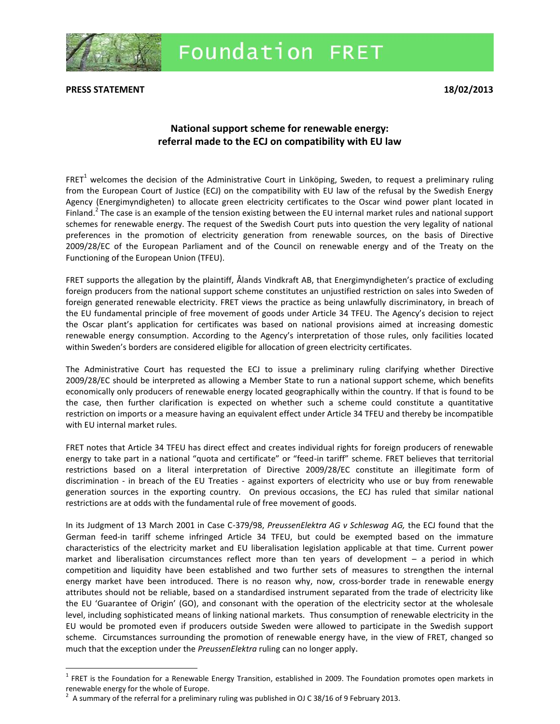

## **Foundation FRET**

**PRESS STATEMENT 18/02/2013**

 $\overline{\phantom{a}}$ 

## **National support scheme for renewable energy: referral made to the ECJ on compatibility with EU law**

FRET<sup>1</sup> welcomes the decision of the Administrative Court in Linköping, Sweden, to request a preliminary ruling from the European Court of Justice (ECJ) on the compatibility with EU law of the refusal by the Swedish Energy Agency (Energimyndigheten) to allocate green electricity certificates to the Oscar wind power plant located in Finland.<sup>2</sup> The case is an example of the tension existing between the EU internal market rules and national support schemes for renewable energy. The request of the Swedish Court puts into question the very legality of national preferences in the promotion of electricity generation from renewable sources, on the basis of Directive 2009/28/EC of the European Parliament and of the Council on renewable energy and of the Treaty on the Functioning of the European Union (TFEU).

FRET supports the allegation by the plaintiff, Ålands Vindkraft AB, that Energimyndigheten's practice of excluding foreign producers from the national support scheme constitutes an unjustified restriction on sales into Sweden of foreign generated renewable electricity. FRET views the practice as being unlawfully discriminatory, in breach of the EU fundamental principle of free movement of goods under Article 34 TFEU. The Agency's decision to reject the Oscar plant's application for certificates was based on national provisions aimed at increasing domestic renewable energy consumption. According to the Agency's interpretation of those rules, only facilities located within Sweden's borders are considered eligible for allocation of green electricity certificates.

The Administrative Court has requested the ECJ to issue a preliminary ruling clarifying whether Directive 2009/28/EC should be interpreted as allowing a Member State to run a national support scheme, which benefits economically only producers of renewable energy located geographically within the country. If that is found to be the case, then further clarification is expected on whether such a scheme could constitute a quantitative restriction on imports or a measure having an equivalent effect under Article 34 TFEU and thereby be incompatible with EU internal market rules.

FRET notes that Article 34 TFEU has direct effect and creates individual rights for foreign producers of renewable energy to take part in a national "quota and certificate" or "feed-in tariff" scheme. FRET believes that territorial restrictions based on a literal interpretation of Directive 2009/28/EC constitute an illegitimate form of discrimination - in breach of the EU Treaties - against exporters of electricity who use or buy from renewable generation sources in the exporting country. On previous occasions, the ECJ has ruled that similar national restrictions are at odds with the fundamental rule of free movement of goods.

In its Judgment of 13 March 2001 in Case C-379/98, *PreussenElektra AG v Schleswag AG,* the ECJ found that the German feed-in tariff scheme infringed Article 34 TFEU, but could be exempted based on the immature characteristics of the electricity market and EU liberalisation legislation applicable at that time. Current power market and liberalisation circumstances reflect more than ten years of development – a period in which competition and liquidity have been established and two further sets of measures to strengthen the internal energy market have been introduced. There is no reason why, now, cross-border trade in renewable energy attributes should not be reliable, based on a standardised instrument separated from the trade of electricity like the EU 'Guarantee of Origin' (GO), and consonant with the operation of the electricity sector at the wholesale level, including sophisticated means of linking national markets. Thus consumption of renewable electricity in the EU would be promoted even if producers outside Sweden were allowed to participate in the Swedish support scheme. Circumstances surrounding the promotion of renewable energy have, in the view of FRET, changed so much that the exception under the *PreussenElektra* ruling can no longer apply.

 $^1$  FRET is the Foundation for a Renewable Energy Transition, established in 2009. The Foundation promotes open markets in renewable energy for the whole of Europe.

<sup>&</sup>lt;sup>2</sup> A summary of the referral for a preliminary ruling was published in OJ C 38/16 of 9 February 2013.